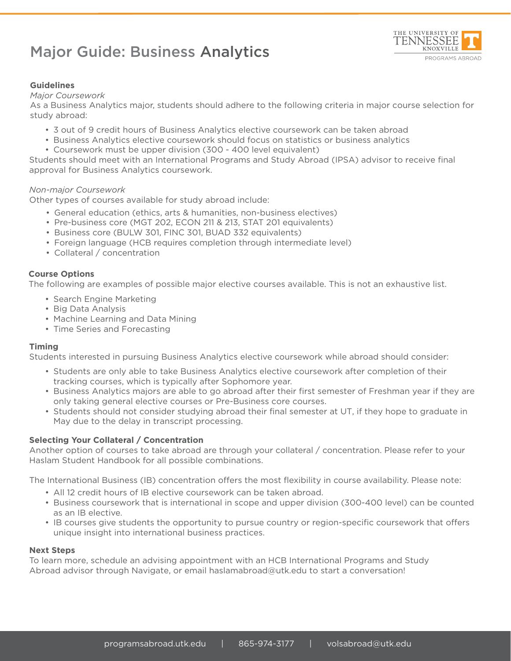# Major Guide: Business Analytics



## **Guidelines**

#### *Major Coursework*

As a Business Analytics major, students should adhere to the following criteria in major course selection for study abroad:

- 3 out of 9 credit hours of Business Analytics elective coursework can be taken abroad
- Business Analytics elective coursework should focus on statistics or business analytics
- Coursework must be upper division (300 400 level equivalent)

Students should meet with an International Programs and Study Abroad (IPSA) advisor to receive final approval for Business Analytics coursework.

## *Non-major Coursework*

Other types of courses available for study abroad include:

- General education (ethics, arts & humanities, non-business electives)
- Pre-business core (MGT 202, ECON 211 & 213, STAT 201 equivalents)
- Business core (BULW 301, FINC 301, BUAD 332 equivalents)
- Foreign language (HCB requires completion through intermediate level)
- Collateral / concentration

## **Course Options**

The following are examples of possible major elective courses available. This is not an exhaustive list.

- Search Engine Marketing
- Big Data Analysis
- Machine Learning and Data Mining
- Time Series and Forecasting

#### **Timing**

Students interested in pursuing Business Analytics elective coursework while abroad should consider:

- Students are only able to take Business Analytics elective coursework after completion of their tracking courses, which is typically after Sophomore year.
- Business Analytics majors are able to go abroad after their first semester of Freshman year if they are only taking general elective courses or Pre-Business core courses.
- Students should not consider studying abroad their final semester at UT, if they hope to graduate in May due to the delay in transcript processing.

## **Selecting Your Collateral / Concentration**

Another option of courses to take abroad are through your collateral / concentration. Please refer to your Haslam Student Handbook for all possible combinations.

The International Business (IB) concentration offers the most flexibility in course availability. Please note:

- All 12 credit hours of IB elective coursework can be taken abroad.
- Business coursework that is international in scope and upper division (300-400 level) can be counted as an IB elective.
- IB courses give students the opportunity to pursue country or region-specific coursework that offers unique insight into international business practices.

#### **Next Steps**

To learn more, schedule an advising appointment with an HCB International Programs and Study Abroad advisor through Navigate, or email haslamabroad@utk.edu to start a conversation!